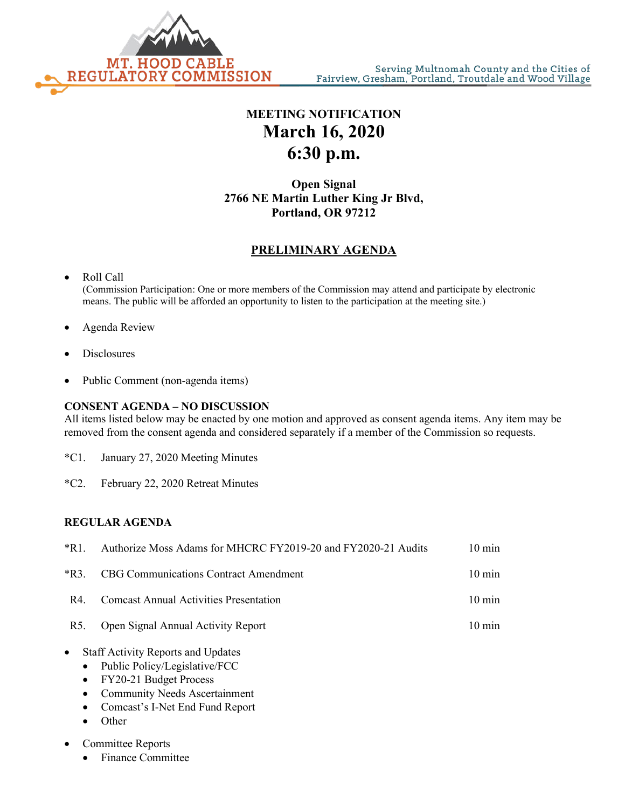

## **MEETING NOTIFICATION March 16, 2020 6:30 p.m.**

**Open Signal 2766 NE Martin Luther King Jr Blvd, Portland, OR 97212**

### **PRELIMINARY AGENDA**

# • Roll Call

(Commission Participation: One or more members of the Commission may attend and participate by electronic means. The public will be afforded an opportunity to listen to the participation at the meeting site.)

- Agenda Review
- **Disclosures**
- Public Comment (non-agenda items)

### **CONSENT AGENDA – NO DISCUSSION**

All items listed below may be enacted by one motion and approved as consent agenda items. Any item may be removed from the consent agenda and considered separately if a member of the Commission so requests.

- \*C1. January 27, 2020 Meeting Minutes
- \*C2. February 22, 2020 Retreat Minutes

#### **REGULAR AGENDA**

| $*R1$ . | Authorize Moss Adams for MHCRC FY2019-20 and FY2020-21 Audits | $10 \text{ min}$ |
|---------|---------------------------------------------------------------|------------------|
| $*R3$ . | <b>CBG Communications Contract Amendment</b>                  | $10 \text{ min}$ |
| R4.     | <b>Comcast Annual Activities Presentation</b>                 | $10 \text{ min}$ |
| R5.     | Open Signal Annual Activity Report                            | $10 \text{ min}$ |
|         |                                                               |                  |

- Staff Activity Reports and Updates
	- Public Policy/Legislative/FCC
	- FY20-21 Budget Process
	- Community Needs Ascertainment
	- Comcast's I-Net End Fund Report
	- Other
- Committee Reports
	- Finance Committee